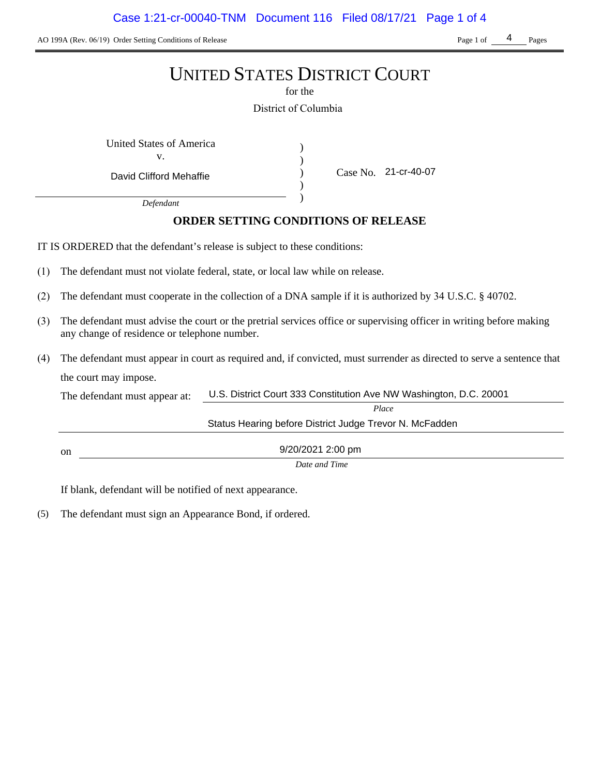AO 199A (Rev. 06/19) Order Setting Conditions of Release Page 1 of Pages Page 1 of Pages

4

# UNITED STATES DISTRICT COURT

for the

District of Columbia

) ) ) )

United States of America (1) v.

David Clifford Mehaffie

Case No. 21-cr-40-07

*Defendant*

# **ORDER SETTING CONDITIONS OF RELEASE**

IT IS ORDERED that the defendant's release is subject to these conditions:

- (1) The defendant must not violate federal, state, or local law while on release.
- (2) The defendant must cooperate in the collection of a DNA sample if it is authorized by 34 U.S.C. § 40702.
- (3) The defendant must advise the court or the pretrial services office or supervising officer in writing before making any change of residence or telephone number.
- (4) The defendant must appear in court as required and, if convicted, must surrender as directed to serve a sentence that the court may impose.

| The defendant must appear at: | U.S. District Court 333 Constitution Ave NW Washington, D.C. 20001 |  |
|-------------------------------|--------------------------------------------------------------------|--|
|                               | Place                                                              |  |
|                               | Status Hearing before District Judge Trevor N. McFadden            |  |
| <sub>on</sub>                 | 9/20/2021 2:00 pm                                                  |  |
|                               | Date and Time                                                      |  |

If blank, defendant will be notified of next appearance.

(5) The defendant must sign an Appearance Bond, if ordered.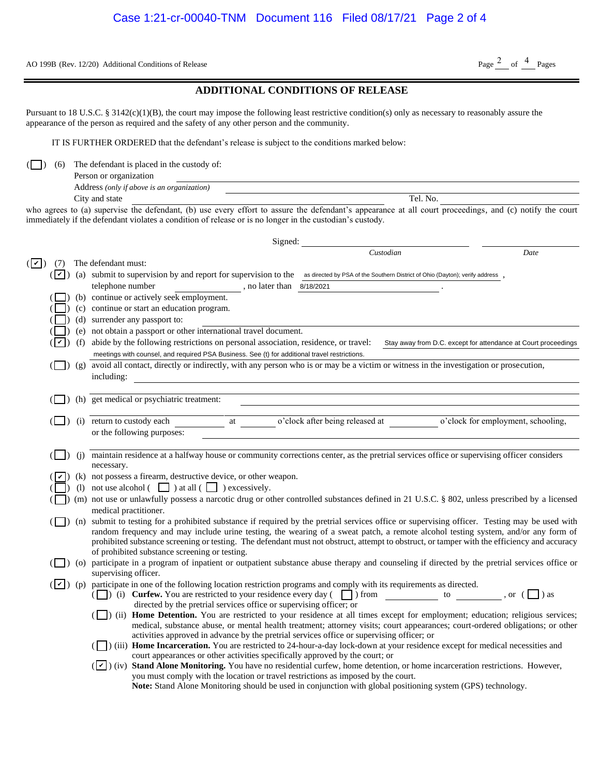AO 199B (Rev. 12/20) Additional Conditions of Release Page  $\frac{2}{\text{Page}}$  of  $\frac{4}{\text{Page}}$  Pages

### **ADDITIONAL CONDITIONS OF RELEASE**

| Person or organization                     |               |
|--------------------------------------------|---------------|
| Address (only if above is an organization) |               |
| City and state                             | . No.<br>Tel. |

| AO 199B (Rev. 12/20) Additional Conditions of Release                                                                                                                                                                                                                                                                                                                                                                                                                                                                                                                                                                                                                                                 | Page $^2$ of $^4$ Pages                                        |
|-------------------------------------------------------------------------------------------------------------------------------------------------------------------------------------------------------------------------------------------------------------------------------------------------------------------------------------------------------------------------------------------------------------------------------------------------------------------------------------------------------------------------------------------------------------------------------------------------------------------------------------------------------------------------------------------------------|----------------------------------------------------------------|
| <b>ADDITIONAL CONDITIONS OF RELEASE</b>                                                                                                                                                                                                                                                                                                                                                                                                                                                                                                                                                                                                                                                               |                                                                |
| Pursuant to 18 U.S.C. § 3142(c)(1)(B), the court may impose the following least restrictive condition(s) only as necessary to reasonably assure the<br>appearance of the person as required and the safety of any other person and the community.                                                                                                                                                                                                                                                                                                                                                                                                                                                     |                                                                |
| IT IS FURTHER ORDERED that the defendant's release is subject to the conditions marked below:                                                                                                                                                                                                                                                                                                                                                                                                                                                                                                                                                                                                         |                                                                |
| The defendant is placed in the custody of:<br>(6)<br>Person or organization                                                                                                                                                                                                                                                                                                                                                                                                                                                                                                                                                                                                                           |                                                                |
| Address (only if above is an organization)<br>Tel. No.<br>City and state                                                                                                                                                                                                                                                                                                                                                                                                                                                                                                                                                                                                                              |                                                                |
| who agrees to (a) supervise the defendant, (b) use every effort to assure the defendant's appearance at all court proceedings, and (c) notify the court<br>immediately if the defendant violates a condition of release or is no longer in the custodian's custody.                                                                                                                                                                                                                                                                                                                                                                                                                                   |                                                                |
| Signed:                                                                                                                                                                                                                                                                                                                                                                                                                                                                                                                                                                                                                                                                                               |                                                                |
| Custodian                                                                                                                                                                                                                                                                                                                                                                                                                                                                                                                                                                                                                                                                                             | Date                                                           |
| The defendant must:<br>$(  \vee  )$<br>(7)<br>(a) submit to supervision by and report for supervision to the as directed by PSA of the Southern District of Ohio (Dayton); verify address<br>$( \mathbf{v} )$<br>telephone number<br>$\mu$ , no later than $\alpha$ 8/18/2021                                                                                                                                                                                                                                                                                                                                                                                                                         |                                                                |
| (b) continue or actively seek employment.                                                                                                                                                                                                                                                                                                                                                                                                                                                                                                                                                                                                                                                             |                                                                |
| (c) continue or start an education program.<br>(d) surrender any passport to:                                                                                                                                                                                                                                                                                                                                                                                                                                                                                                                                                                                                                         |                                                                |
| (e) not obtain a passport or other international travel document.                                                                                                                                                                                                                                                                                                                                                                                                                                                                                                                                                                                                                                     |                                                                |
| (f) abide by the following restrictions on personal association, residence, or travel:<br>⊺∽∣<br>meetings with counsel, and required PSA Business. See (t) for additional travel restrictions.                                                                                                                                                                                                                                                                                                                                                                                                                                                                                                        | Stay away from D.C. except for attendance at Court proceedings |
| (g) avoid all contact, directly or indirectly, with any person who is or may be a victim or witness in the investigation or prosecution,<br>including:                                                                                                                                                                                                                                                                                                                                                                                                                                                                                                                                                |                                                                |
| (h) get medical or psychiatric treatment:                                                                                                                                                                                                                                                                                                                                                                                                                                                                                                                                                                                                                                                             |                                                                |
|                                                                                                                                                                                                                                                                                                                                                                                                                                                                                                                                                                                                                                                                                                       |                                                                |
| o'clock after being released at<br>(i) return to custody each<br>at<br>or the following purposes:                                                                                                                                                                                                                                                                                                                                                                                                                                                                                                                                                                                                     | o'clock for employment, schooling,                             |
| maintain residence at a halfway house or community corrections center, as the pretrial services office or supervising officer considers<br>(i)<br>necessary.                                                                                                                                                                                                                                                                                                                                                                                                                                                                                                                                          |                                                                |
| (k) not possess a firearm, destructive device, or other weapon.                                                                                                                                                                                                                                                                                                                                                                                                                                                                                                                                                                                                                                       |                                                                |
| not use alcohol $\begin{pmatrix} \square \\ \square \end{pmatrix}$ at all $\begin{pmatrix} \square \\ \square \end{pmatrix}$ excessively.<br>(1)                                                                                                                                                                                                                                                                                                                                                                                                                                                                                                                                                      |                                                                |
| ( ) (m) not use or unlawfully possess a narcotic drug or other controlled substances defined in 21 U.S.C. § 802, unless prescribed by a licensed<br>medical practitioner.                                                                                                                                                                                                                                                                                                                                                                                                                                                                                                                             |                                                                |
| (n) submit to testing for a prohibited substance if required by the pretrial services office or supervising officer. Testing may be used with<br>random frequency and may include urine testing, the wearing of a sweat patch, a remote alcohol testing system, and/or any form of<br>prohibited substance screening or testing. The defendant must not obstruct, attempt to obstruct, or tamper with the efficiency and accuracy<br>of prohibited substance screening or testing.                                                                                                                                                                                                                    |                                                                |
| (O) participate in a program of inpatient or outpatient substance abuse therapy and counseling if directed by the pretrial services office or<br>supervising officer.                                                                                                                                                                                                                                                                                                                                                                                                                                                                                                                                 |                                                                |
| $(\vee)$ (p) participate in one of the following location restriction programs and comply with its requirements as directed.<br>( $\Box$ ) (i) <b>Curfew.</b> You are restricted to your residence every day ( $\Box$ ) from $\Box$ to $\Box$ , or ( $\Box$ ) as<br>directed by the pretrial services office or supervising officer; or<br>(ii) Home Detention. You are restricted to your residence at all times except for employment; education; religious services;<br>medical, substance abuse, or mental health treatment; attorney visits; court appearances; court-ordered obligations; or other<br>activities approved in advance by the pretrial services office or supervising officer; or |                                                                |
| (iii) Home Incarceration. You are restricted to 24-hour-a-day lock-down at your residence except for medical necessities and<br>court appearances or other activities specifically approved by the court; or<br>( $\vee$ ) (iv) Stand Alone Monitoring. You have no residential curfew, home detention, or home incarceration restrictions. However,<br>you must comply with the location or travel restrictions as imposed by the court.<br>Note: Stand Alone Monitoring should be used in conjunction with global positioning system (GPS) technology.                                                                                                                                              |                                                                |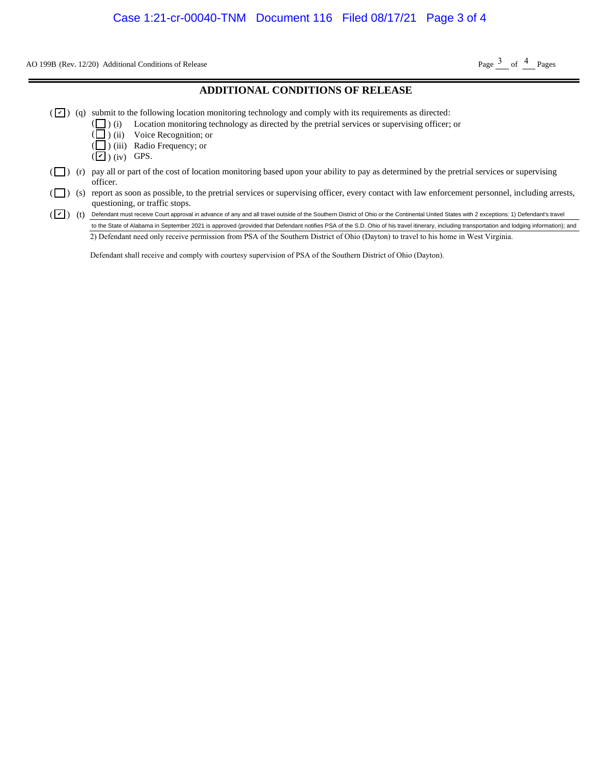AO 199B (Rev. 12/20) Additional Conditions of Release Page  $\frac{3}{2}$  of  $\frac{4}{2}$  Pages

#### **ADDITIONAL CONDITIONS OF RELEASE**

- $(\vee)$  (q) submit to the following location monitoring technology and comply with its requirements as directed:
	- ( $\Box$ ) (i) Location monitoring technology as directed by the pretrial services or supervising officer; or
	- ) (ii) Voice Recognition; or
	- ) (iii) Radio Frequency; or
	- $(\blacksquare)$  (iv) GPS.

( (

- $\Box$ ) (r) pay all or part of the cost of location monitoring based upon your ability to pay as determined by the pretrial services or supervising officer.
- ( $\Box$ ) (s) report as soon as possible, to the pretrial services or supervising officer, every contact with law enforcement personnel, including arrests, questioning, or traffic stops. (0) Additional Conditions of Release<br> **ADDITIONAL CONDITIONS OF RELEASE**<br>
submit to the following location monitoring technology and comply with its requirements as directed:<br>
( $\Box$ ) (i) Location monitoring technology as
- (V) (t) Defendant must receive Court approval in advance of any and all travel outside of the Southern District of Ohio or the Continental United States with 2 exceptions: 1) Defendant's travel

2) Defendant need only receive permission from PSA of the Southern District of Ohio (Dayton) to travel to his home in West Virginia.

Defendant shall receive and comply with courtesy supervision of PSA of the Southern District of Ohio (Dayton).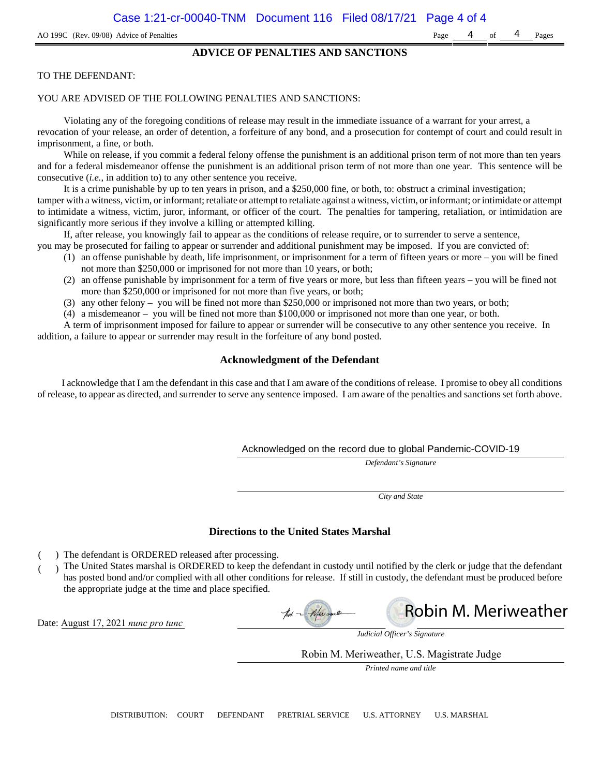#### **ADVICE OF PENALTIES AND SANCTIONS**

#### TO THE DEFENDANT:

#### YOU ARE ADVISED OF THE FOLLOWING PENALTIES AND SANCTIONS:

Violating any of the foregoing conditions of release may result in the immediate issuance of a warrant for your arrest, a revocation of your release, an order of detention, a forfeiture of any bond, and a prosecution for contempt of court and could result in imprisonment, a fine, or both.

While on release, if you commit a federal felony offense the punishment is an additional prison term of not more than ten years and for a federal misdemeanor offense the punishment is an additional prison term of not more than one year. This sentence will be consecutive (*i.e.*, in addition to) to any other sentence you receive.

It is a crime punishable by up to ten years in prison, and a \$250,000 fine, or both, to: obstruct a criminal investigation; tamper with a witness, victim, or informant; retaliate or attempt to retaliate against a witness, victim, or informant; or intimidate or attempt to intimidate a witness, victim, juror, informant, or officer of the court. The penalties for tampering, retaliation, or intimidation are significantly more serious if they involve a killing or attempted killing.

If, after release, you knowingly fail to appear as the conditions of release require, or to surrender to serve a sentence,

- you may be prosecuted for failing to appear or surrender and additional punishment may be imposed. If you are convicted of:
	- (1) an offense punishable by death, life imprisonment, or imprisonment for a term of fifteen years or more you will be fined not more than \$250,000 or imprisoned for not more than 10 years, or both;
	- (2) an offense punishable by imprisonment for a term of five years or more, but less than fifteen years you will be fined not more than \$250,000 or imprisoned for not more than five years, or both;
	- (3) any other felony you will be fined not more than \$250,000 or imprisoned not more than two years, or both;
	- (4) a misdemeanor you will be fined not more than \$100,000 or imprisoned not more than one year, or both.

A term of imprisonment imposed for failure to appear or surrender will be consecutive to any other sentence you receive. In addition, a failure to appear or surrender may result in the forfeiture of any bond posted.

#### **Acknowledgment of the Defendant**

I acknowledge that I am the defendant in this case and that I am aware of the conditions of release. I promise to obey all conditions of release, to appear as directed, and surrender to serve any sentence imposed. I am aware of the penalties and sanctions set forth above.

#### Acknowledged on the record due to global Pandemic-COVID-19

*Defendant's Signature*

*City and State*

#### **Directions to the United States Marshal**

- ) The defendant is ORDERED released after processing.
- ) The United States marshal is ORDERED to keep the defendant in custody until notified by the clerk or judge that the defendant has posted bond and/or complied with all other conditions for release. If still in custody, the defendant must be produced before the appropriate judge at the time and place specified.

Date: August 17, 2021 *nunc pro tunc*





*Judicial Officer's Signature*

Robin M. Meriweather, U.S. Magistrate Judge

*Printed name and title*

DISTRIBUTION: COURT DEFENDANT PRETRIAL SERVICE U.S. ATTORNEY U.S. MARSHAL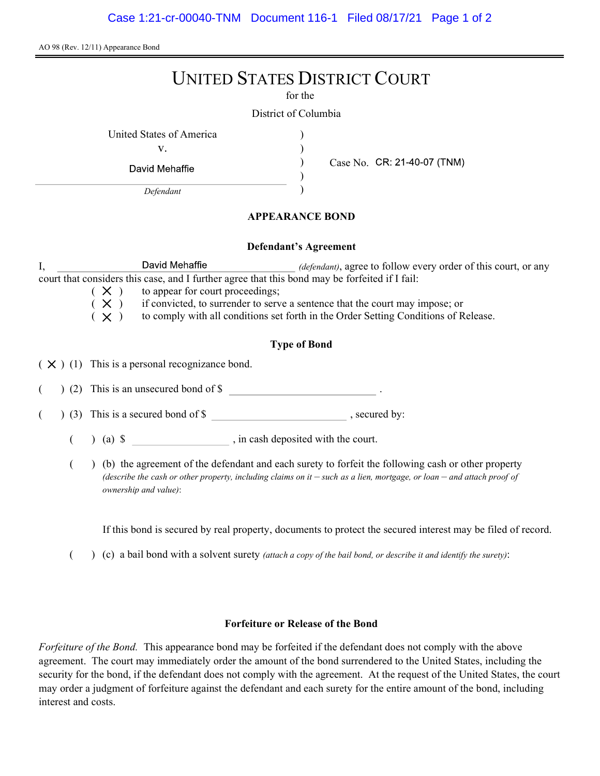AO 98 (Rev. 12/11) Appearance Bond

# UNITED STATES DISTRICT COURT

for the

) ) ) )

District of Columbia

United States of America (1996)

v.

David Mehaffie

Defendant

Case No. CR: 21-40-07 (TNM)

# APPEARANCE BOND

### Defendant's Agreement

I, David Mehaffie *(defendant)*, agree to follow every order of this court, or any court that considers this case, and I further agree that this bond may be forfeited if I fail:

 $(X)$  to appear for court proceedings;<br> $(X)$  if convicted, to surrender to serv

 $(X)$  if convicted, to surrender to serve a sentence that the court may impose; or  $(X)$  to comply with all conditions set forth in the Order Setting Conditions of R

to comply with all conditions set forth in the Order Setting Conditions of Release.

# Type of Bond

 $(X)$  (1) This is a personal recognizance bond.

(2) This is an unsecured bond of \$

 $($   $)$  (3) This is a secured bond of \$, secured by:

 $($  ) (a)  $\$  , in cash deposited with the court.

( ) (b) the agreement of the defendant and each surety to forfeit the following cash or other property (describe the cash or other property, including claims on it  $-$  such as a lien, mortgage, or loan  $-$  and attach proof of ownership and value):

If this bond is secured by real property, documents to protect the secured interest may be filed of record.

 $($  )  $(c)$  a bail bond with a solvent surety *(attach a copy of the bail bond, or describe it and identify the surety)*:

# Forfeiture or Release of the Bond

Forfeiture of the Bond. This appearance bond may be forfeited if the defendant does not comply with the above agreement. The court may immediately order the amount of the bond surrendered to the United States, including the security for the bond, if the defendant does not comply with the agreement. At the request of the United States, the court may order a judgment of forfeiture against the defendant and each surety for the entire amount of the bond, including interest and costs.